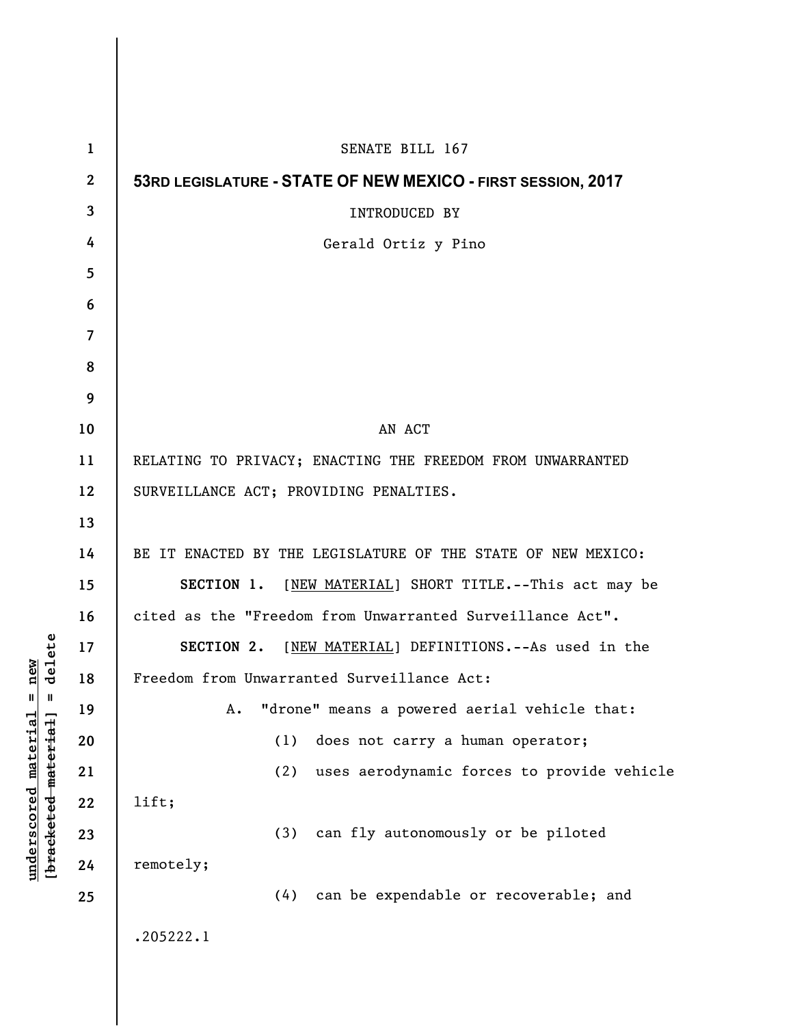| $\mathbf{1}$             | SENATE BILL 167                                              |
|--------------------------|--------------------------------------------------------------|
| $\boldsymbol{2}$         | 53RD LEGISLATURE - STATE OF NEW MEXICO - FIRST SESSION, 2017 |
| 3                        | INTRODUCED BY                                                |
| 4                        | Gerald Ortiz y Pino                                          |
| 5                        |                                                              |
| 6                        |                                                              |
| $\overline{\mathcal{L}}$ |                                                              |
| 8                        |                                                              |
| 9                        |                                                              |
| 10                       | AN ACT                                                       |
| 11                       | RELATING TO PRIVACY; ENACTING THE FREEDOM FROM UNWARRANTED   |
| 12                       | SURVEILLANCE ACT; PROVIDING PENALTIES.                       |
| 13                       |                                                              |
| 14                       | BE IT ENACTED BY THE LEGISLATURE OF THE STATE OF NEW MEXICO: |
| 15                       | SECTION 1. [NEW MATERIAL] SHORT TITLE. -- This act may be    |
| 16                       | cited as the "Freedom from Unwarranted Surveillance Act".    |
| 17                       | SECTION 2.<br>[NEW MATERIAL] DEFINITIONS. -- As used in the  |
| 18                       | Freedom from Unwarranted Surveillance Act:                   |
| 19                       | "drone" means a powered aerial vehicle that:<br>Α.           |
| 20                       | (1)<br>does not carry a human operator;                      |
| 21                       | uses aerodynamic forces to provide vehicle<br>(2)            |
| 22                       | lift;                                                        |
| 23                       | can fly autonomously or be piloted<br>(3)                    |
| 24                       | remotely;                                                    |
| 25                       | can be expendable or recoverable; and<br>(4)                 |
|                          | .205222.1                                                    |

 $\overline{\phantom{a}}$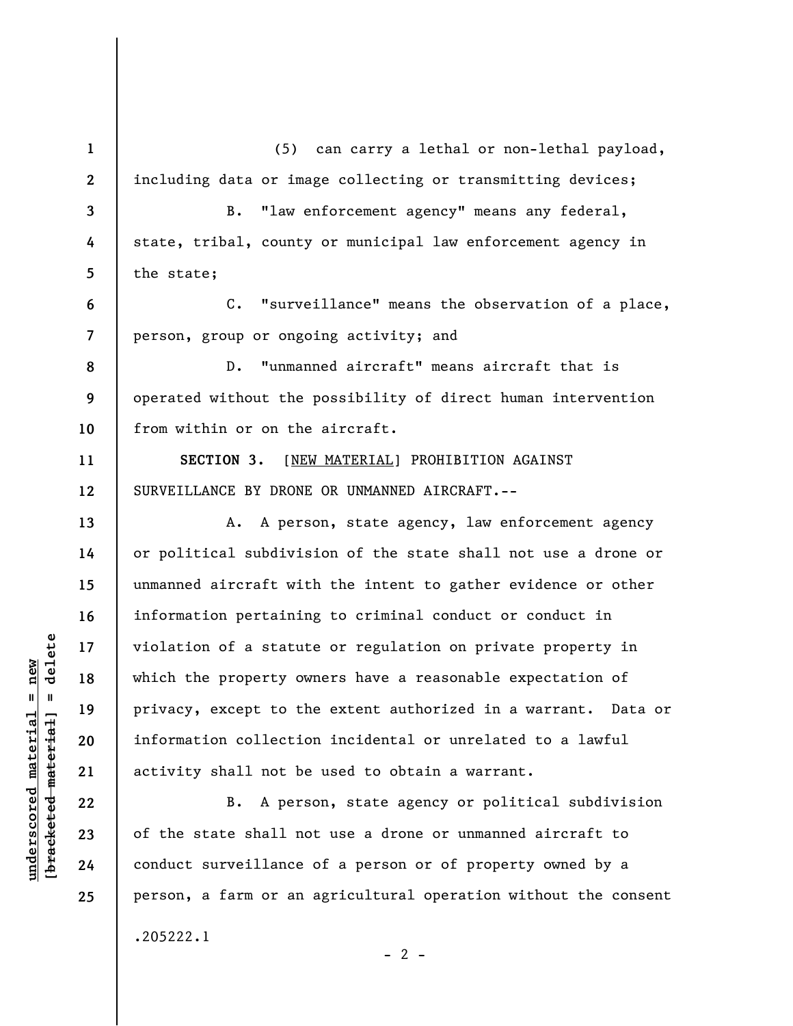**1 2 3 4 5 6 7 8 9 10 11 12 13 14 15 16 17 18 19 20 21 22 23 24 25**  (5) can carry a lethal or non-lethal payload, including data or image collecting or transmitting devices; B. "law enforcement agency" means any federal, state, tribal, county or municipal law enforcement agency in the state; C. "surveillance" means the observation of a place, person, group or ongoing activity; and D. "unmanned aircraft" means aircraft that is operated without the possibility of direct human intervention from within or on the aircraft. **SECTION 3.** [NEW MATERIAL] PROHIBITION AGAINST SURVEILLANCE BY DRONE OR UNMANNED AIRCRAFT.-- A. A person, state agency, law enforcement agency or political subdivision of the state shall not use a drone or unmanned aircraft with the intent to gather evidence or other information pertaining to criminal conduct or conduct in violation of a statute or regulation on private property in which the property owners have a reasonable expectation of privacy, except to the extent authorized in a warrant. Data or information collection incidental or unrelated to a lawful activity shall not be used to obtain a warrant. B. A person, state agency or political subdivision of the state shall not use a drone or unmanned aircraft to conduct surveillance of a person or of property owned by a person, a farm or an agricultural operation without the consent

 $- 2 -$ 

.205222.1

 $\frac{1}{2}$  intereted material = delete **[bracketed material] = delete**  $underscored material = new$ **underscored material = new**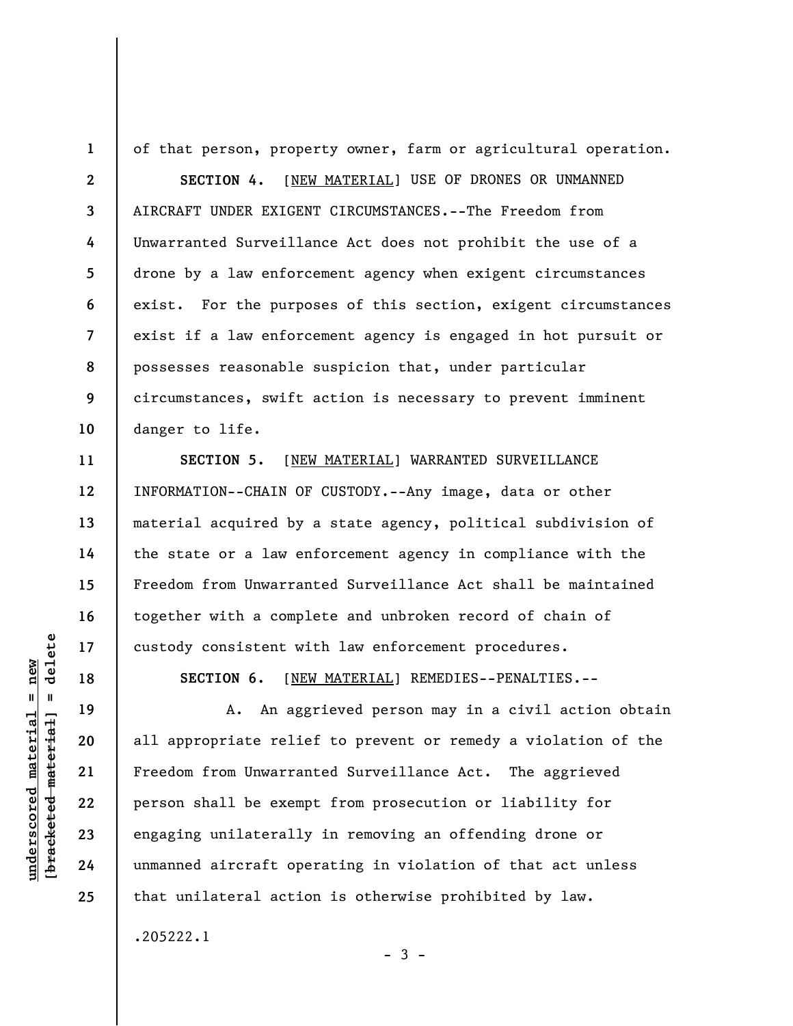of that person, property owner, farm or agricultural operation.

**SECTION 4.** [NEW MATERIAL] USE OF DRONES OR UNMANNED AIRCRAFT UNDER EXIGENT CIRCUMSTANCES.--The Freedom from Unwarranted Surveillance Act does not prohibit the use of a drone by a law enforcement agency when exigent circumstances exist. For the purposes of this section, exigent circumstances exist if a law enforcement agency is engaged in hot pursuit or possesses reasonable suspicion that, under particular circumstances, swift action is necessary to prevent imminent danger to life.

**SECTION 5.** [NEW MATERIAL] WARRANTED SURVEILLANCE INFORMATION--CHAIN OF CUSTODY.--Any image, data or other material acquired by a state agency, political subdivision of the state or a law enforcement agency in compliance with the Freedom from Unwarranted Surveillance Act shall be maintained together with a complete and unbroken record of chain of custody consistent with law enforcement procedures.

**SECTION 6.** [NEW MATERIAL] REMEDIES--PENALTIES.--

A. An aggrieved person may in a civil action obtain all appropriate relief to prevent or remedy a violation of the Freedom from Unwarranted Surveillance Act. The aggrieved person shall be exempt from prosecution or liability for engaging unilaterally in removing an offending drone or unmanned aircraft operating in violation of that act unless that unilateral action is otherwise prohibited by law.

 $-3 -$ 

.205222.1

 $\frac{1}{2}$  of  $\frac{1}{2}$  and  $\frac{1}{2}$  and  $\frac{1}{2}$  and  $\frac{1}{2}$  and  $\frac{1}{2}$  and  $\frac{1}{2}$  and  $\frac{1}{2}$  and  $\frac{1}{2}$  and  $\frac{1}{2}$  and  $\frac{1}{2}$  and  $\frac{1}{2}$  and  $\frac{1}{2}$  and  $\frac{1}{2}$  and  $\frac{1}{2}$  and  $\frac{1}{2}$  an **[bracketed material] = delete**  $underscored material = new$ **underscored material = new**

**1** 

**2** 

**3** 

**4** 

**5** 

**6** 

**7** 

**8** 

**9** 

**10** 

**11** 

**12** 

**13** 

**14** 

**15** 

**16** 

**17** 

**18** 

**19** 

**20** 

**21** 

**22** 

**23** 

**24** 

**25**